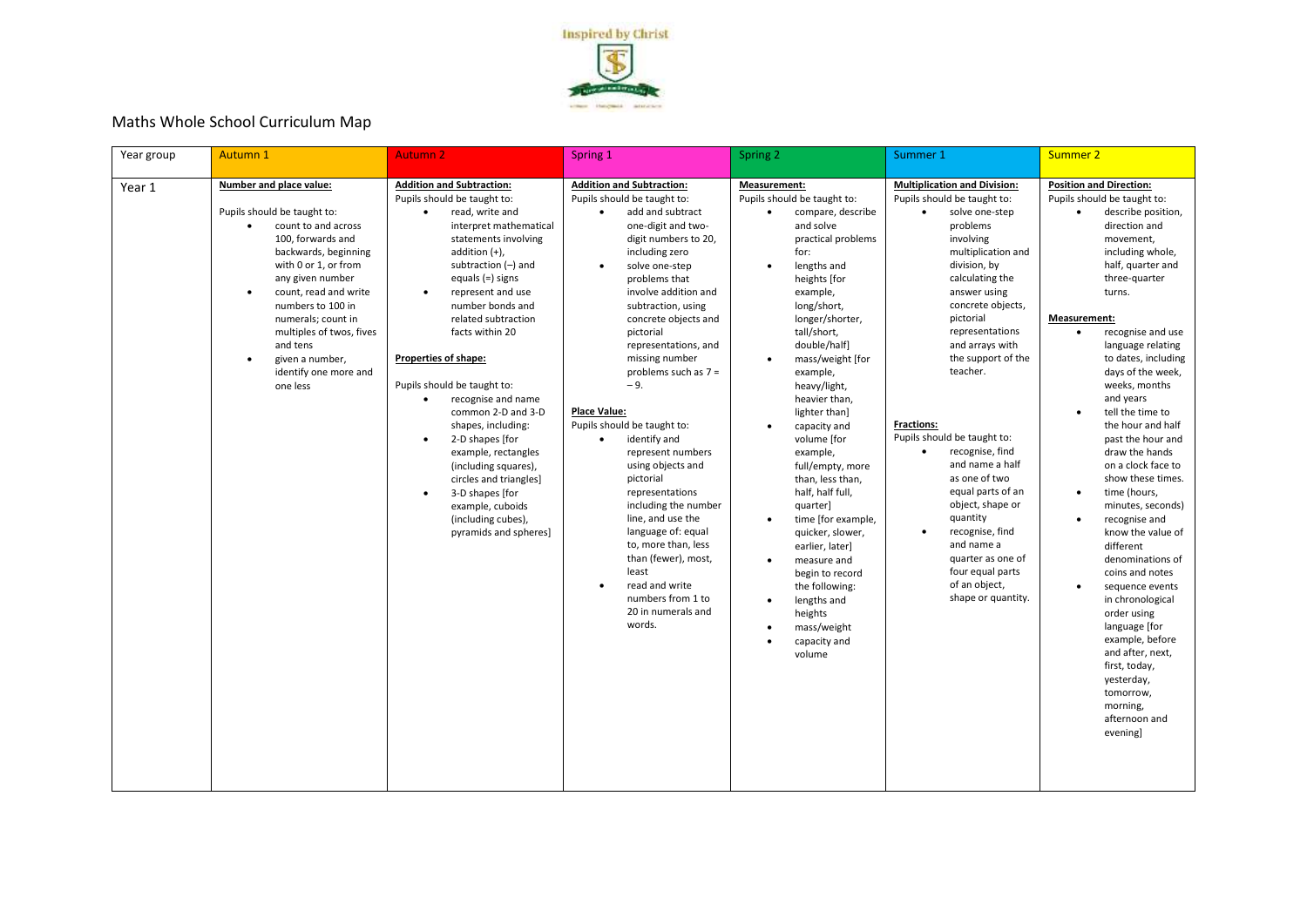

## Maths Whole School Curriculum Map

| Year group | Autumn 1                                                                                                                                                                                                                                                                                                                                                             | <b>Autumn 2</b>                                                                                                                                                                                                                                                                                                                                                                                                                                                                                                                                                                                                                                                             | Spring 1                                                                                                                                                                                                                                                                                                                                                                                                                                                                                                                                                                                                                                                                                                                                       | Spring 2                                                                                                                                                                                                                                                                                                                                                                                                                                                                                                                                                                                                                                                                                                                 | Summer 1                                                                                                                                                                                                                                                                                                                                                                                                                                                                                                                                                                                                                 | Summer 2                                                                                                                                                                                                                                                                                                                                                                                                                                                                                                                                                                                                                                                                                                                                                                                                                                   |
|------------|----------------------------------------------------------------------------------------------------------------------------------------------------------------------------------------------------------------------------------------------------------------------------------------------------------------------------------------------------------------------|-----------------------------------------------------------------------------------------------------------------------------------------------------------------------------------------------------------------------------------------------------------------------------------------------------------------------------------------------------------------------------------------------------------------------------------------------------------------------------------------------------------------------------------------------------------------------------------------------------------------------------------------------------------------------------|------------------------------------------------------------------------------------------------------------------------------------------------------------------------------------------------------------------------------------------------------------------------------------------------------------------------------------------------------------------------------------------------------------------------------------------------------------------------------------------------------------------------------------------------------------------------------------------------------------------------------------------------------------------------------------------------------------------------------------------------|--------------------------------------------------------------------------------------------------------------------------------------------------------------------------------------------------------------------------------------------------------------------------------------------------------------------------------------------------------------------------------------------------------------------------------------------------------------------------------------------------------------------------------------------------------------------------------------------------------------------------------------------------------------------------------------------------------------------------|--------------------------------------------------------------------------------------------------------------------------------------------------------------------------------------------------------------------------------------------------------------------------------------------------------------------------------------------------------------------------------------------------------------------------------------------------------------------------------------------------------------------------------------------------------------------------------------------------------------------------|--------------------------------------------------------------------------------------------------------------------------------------------------------------------------------------------------------------------------------------------------------------------------------------------------------------------------------------------------------------------------------------------------------------------------------------------------------------------------------------------------------------------------------------------------------------------------------------------------------------------------------------------------------------------------------------------------------------------------------------------------------------------------------------------------------------------------------------------|
| Year 1     | Number and place value:<br>Pupils should be taught to:<br>count to and across<br>100, forwards and<br>backwards, beginning<br>with 0 or 1, or from<br>any given number<br>count, read and write<br>$\bullet$<br>numbers to 100 in<br>numerals; count in<br>multiples of twos, fives<br>and tens<br>given a number,<br>$\bullet$<br>identify one more and<br>one less | <b>Addition and Subtraction:</b><br>Pupils should be taught to:<br>read, write and<br>$\bullet$<br>interpret mathematical<br>statements involving<br>addition $(+)$ ,<br>subtraction $(-)$ and<br>equals (=) signs<br>represent and use<br>$\bullet$<br>number bonds and<br>related subtraction<br>facts within 20<br><b>Properties of shape:</b><br>Pupils should be taught to:<br>recognise and name<br>$\bullet$<br>common 2-D and 3-D<br>shapes, including:<br>2-D shapes [for<br>$\bullet$<br>example, rectangles<br>(including squares),<br>circles and triangles]<br>3-D shapes [for<br>$\bullet$<br>example, cuboids<br>(including cubes),<br>pyramids and spheres] | <b>Addition and Subtraction:</b><br>Pupils should be taught to:<br>$\bullet$<br>add and subtract<br>one-digit and two-<br>digit numbers to 20,<br>including zero<br>solve one-step<br>$\bullet$<br>problems that<br>involve addition and<br>subtraction, using<br>concrete objects and<br>pictorial<br>representations, and<br>missing number<br>problems such as $7 =$<br>$-9.$<br><b>Place Value:</b><br>Pupils should be taught to:<br>identify and<br>$\bullet$<br>represent numbers<br>using objects and<br>pictorial<br>representations<br>including the number<br>line, and use the<br>language of: equal<br>to, more than, less<br>than (fewer), most,<br>least<br>read and write<br>numbers from 1 to<br>20 in numerals and<br>words. | Measurement:<br>Pupils should be taught to:<br>compare, describe<br>$\bullet$<br>and solve<br>practical problems<br>for:<br>lengths and<br>$\bullet$<br>heights [for<br>example,<br>long/short,<br>longer/shorter,<br>tall/short,<br>double/half]<br>mass/weight [for<br>$\bullet$<br>example,<br>heavy/light,<br>heavier than,<br>lighter than]<br>capacity and<br>$\bullet$<br>volume [for<br>example,<br>full/empty, more<br>than, less than,<br>half, half full,<br>quarter]<br>time [for example,<br>$\bullet$<br>quicker, slower,<br>earlier, later]<br>measure and<br>$\bullet$<br>begin to record<br>the following:<br>lengths and<br>$\bullet$<br>heights<br>mass/weight<br>$\bullet$<br>capacity and<br>volume | <b>Multiplication and Division:</b><br>Pupils should be taught to:<br>solve one-step<br>$\bullet$<br>problems<br>involving<br>multiplication and<br>division, by<br>calculating the<br>answer using<br>concrete objects,<br>pictorial<br>representations<br>and arrays with<br>the support of the<br>teacher.<br><b>Fractions:</b><br>Pupils should be taught to:<br>recognise, find<br>$\bullet$<br>and name a half<br>as one of two<br>equal parts of an<br>object, shape or<br>quantity<br>recognise, find<br>$\bullet$<br>and name a<br>quarter as one of<br>four equal parts<br>of an object,<br>shape or quantity. | <b>Position and Direction:</b><br>Pupils should be taught to:<br>describe position,<br>$\bullet$<br>direction and<br>movement,<br>including whole,<br>half, quarter and<br>three-quarter<br>turns.<br>Measurement:<br>recognise and use<br>$\bullet$<br>language relating<br>to dates, including<br>days of the week,<br>weeks, months<br>and years<br>tell the time to<br>the hour and half<br>past the hour and<br>draw the hands<br>on a clock face to<br>show these times.<br>time (hours,<br>$\bullet$<br>minutes, seconds)<br>recognise and<br>$\bullet$<br>know the value of<br>different<br>denominations of<br>coins and notes<br>sequence events<br>in chronological<br>order using<br>language [for<br>example, before<br>and after, next,<br>first, today,<br>yesterday,<br>tomorrow,<br>morning,<br>afternoon and<br>evening] |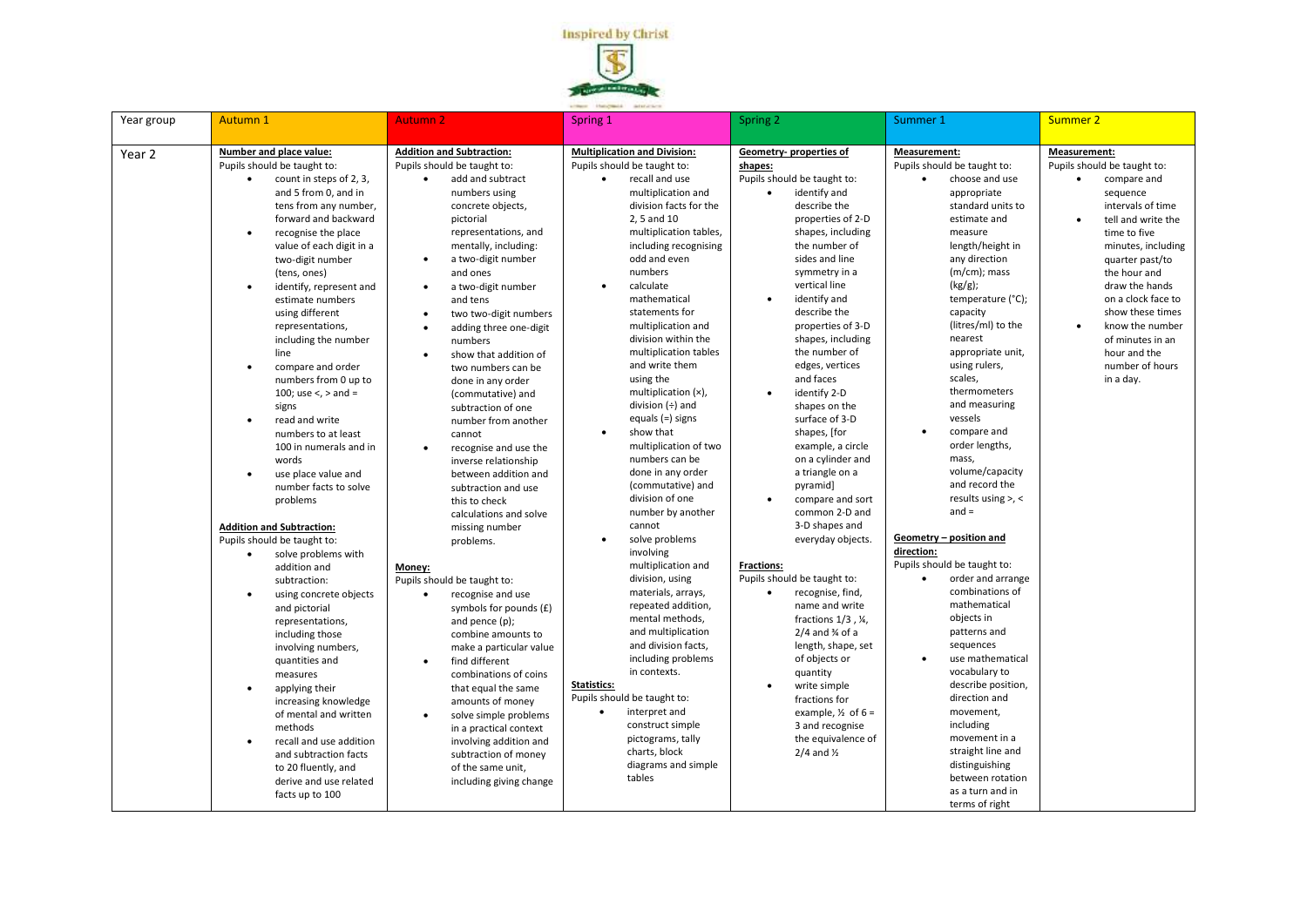

| Year group | <b>Autumn 1</b>                                                                                                                                                                                                                                                                                                                                                                                                                                                                                                                                                                                                                                                                                                                                                                                                                                                                                                                                                                                                                                                                                                                            | <b>Autumn 2</b>                                                                                                                                                                                                                                                                                                                                                                                                                                                                                                                                                                                                                                                                                                                                                                                                                                                                                                                                                                                                                                                          | Spring 1                                                                                                                                                                                                                                                                                                                                                                                                                                                                                                                                                                                                                                                                                                                                                                                                                                                                                                                                                                                                                                           | Spring 2                                                                                                                                                                                                                                                                                                                                                                                                                                                                                                                                                                                                                                                                                                                                                                                                                                                                                                                                                                                                   | Summer 1                                                                                                                                                                                                                                                                                                                                                                                                                                                                                                                                                                                                                                                                                                                                                                                                                                                                                                                              | <b>Summer 2</b>                                                                                                                                                                                                                                                                                                                               |
|------------|--------------------------------------------------------------------------------------------------------------------------------------------------------------------------------------------------------------------------------------------------------------------------------------------------------------------------------------------------------------------------------------------------------------------------------------------------------------------------------------------------------------------------------------------------------------------------------------------------------------------------------------------------------------------------------------------------------------------------------------------------------------------------------------------------------------------------------------------------------------------------------------------------------------------------------------------------------------------------------------------------------------------------------------------------------------------------------------------------------------------------------------------|--------------------------------------------------------------------------------------------------------------------------------------------------------------------------------------------------------------------------------------------------------------------------------------------------------------------------------------------------------------------------------------------------------------------------------------------------------------------------------------------------------------------------------------------------------------------------------------------------------------------------------------------------------------------------------------------------------------------------------------------------------------------------------------------------------------------------------------------------------------------------------------------------------------------------------------------------------------------------------------------------------------------------------------------------------------------------|----------------------------------------------------------------------------------------------------------------------------------------------------------------------------------------------------------------------------------------------------------------------------------------------------------------------------------------------------------------------------------------------------------------------------------------------------------------------------------------------------------------------------------------------------------------------------------------------------------------------------------------------------------------------------------------------------------------------------------------------------------------------------------------------------------------------------------------------------------------------------------------------------------------------------------------------------------------------------------------------------------------------------------------------------|------------------------------------------------------------------------------------------------------------------------------------------------------------------------------------------------------------------------------------------------------------------------------------------------------------------------------------------------------------------------------------------------------------------------------------------------------------------------------------------------------------------------------------------------------------------------------------------------------------------------------------------------------------------------------------------------------------------------------------------------------------------------------------------------------------------------------------------------------------------------------------------------------------------------------------------------------------------------------------------------------------|---------------------------------------------------------------------------------------------------------------------------------------------------------------------------------------------------------------------------------------------------------------------------------------------------------------------------------------------------------------------------------------------------------------------------------------------------------------------------------------------------------------------------------------------------------------------------------------------------------------------------------------------------------------------------------------------------------------------------------------------------------------------------------------------------------------------------------------------------------------------------------------------------------------------------------------|-----------------------------------------------------------------------------------------------------------------------------------------------------------------------------------------------------------------------------------------------------------------------------------------------------------------------------------------------|
| Year 2     | Number and place value:<br>Pupils should be taught to:<br>count in steps of 2, 3,<br>and 5 from 0, and in<br>tens from any number,<br>forward and backward<br>recognise the place<br>$\bullet$<br>value of each digit in a<br>two-digit number<br>(tens, ones)<br>identify, represent and<br>estimate numbers<br>using different<br>representations,<br>including the number<br>line<br>compare and order<br>$\bullet$<br>numbers from 0 up to<br>100; use $\lt$ , $>$ and =<br>signs<br>read and write<br>numbers to at least<br>100 in numerals and in<br>words<br>use place value and<br>$\bullet$<br>number facts to solve<br>problems<br><b>Addition and Subtraction:</b><br>Pupils should be taught to:<br>solve problems with<br>$\bullet$<br>addition and<br>subtraction:<br>using concrete objects<br>and pictorial<br>representations,<br>including those<br>involving numbers,<br>quantities and<br>measures<br>applying their<br>$\bullet$<br>increasing knowledge<br>of mental and written<br>methods<br>recall and use addition<br>and subtraction facts<br>to 20 fluently, and<br>derive and use related<br>facts up to 100 | <b>Addition and Subtraction:</b><br>Pupils should be taught to:<br>add and subtract<br>$\bullet$<br>numbers using<br>concrete objects,<br>pictorial<br>representations, and<br>mentally, including:<br>a two-digit number<br>and ones<br>a two-digit number<br>and tens<br>two two-digit numbers<br>adding three one-digit<br>numbers<br>show that addition of<br>two numbers can be<br>done in any order<br>(commutative) and<br>subtraction of one<br>number from another<br>cannot<br>recognise and use the<br>inverse relationship<br>between addition and<br>subtraction and use<br>this to check<br>calculations and solve<br>missing number<br>problems.<br>Money:<br>Pupils should be taught to:<br>recognise and use<br>symbols for pounds (£)<br>and pence $(p)$ ;<br>combine amounts to<br>make a particular value<br>find different<br>combinations of coins<br>that equal the same<br>amounts of money<br>solve simple problems<br>in a practical context<br>involving addition and<br>subtraction of money<br>of the same unit,<br>including giving change | <b>Multiplication and Division:</b><br>Pupils should be taught to:<br>recall and use<br>$\bullet$<br>multiplication and<br>division facts for the<br>2, 5 and 10<br>multiplication tables,<br>including recognising<br>odd and even<br>numbers<br>calculate<br>mathematical<br>statements for<br>multiplication and<br>division within the<br>multiplication tables<br>and write them<br>using the<br>multiplication (x),<br>division $(+)$ and<br>equals (=) signs<br>show that<br>$\bullet$<br>multiplication of two<br>numbers can be<br>done in any order<br>(commutative) and<br>division of one<br>number by another<br>cannot<br>solve problems<br>$\bullet$<br>involving<br>multiplication and<br>division, using<br>materials, arrays,<br>repeated addition,<br>mental methods,<br>and multiplication<br>and division facts,<br>including problems<br>in contexts.<br>Statistics:<br>Pupils should be taught to:<br>interpret and<br>$\bullet$<br>construct simple<br>pictograms, tally<br>charts, block<br>diagrams and simple<br>tables | Geometry- properties of<br>shapes:<br>Pupils should be taught to:<br>identify and<br>$\bullet$<br>describe the<br>properties of 2-D<br>shapes, including<br>the number of<br>sides and line<br>symmetry in a<br>vertical line<br>identify and<br>$\bullet$<br>describe the<br>properties of 3-D<br>shapes, including<br>the number of<br>edges, vertices<br>and faces<br>identify 2-D<br>$\bullet$<br>shapes on the<br>surface of 3-D<br>shapes, [for<br>example, a circle<br>on a cylinder and<br>a triangle on a<br>pyramid]<br>compare and sort<br>$\bullet$<br>common 2-D and<br>3-D shapes and<br>everyday objects.<br><b>Fractions:</b><br>Pupils should be taught to:<br>recognise, find,<br>$\bullet$<br>name and write<br>fractions $1/3$ , $\frac{1}{4}$ ,<br>$2/4$ and $\frac{3}{4}$ of a<br>length, shape, set<br>of objects or<br>quantity<br>write simple<br>$\bullet$<br>fractions for<br>example, $\frac{1}{2}$ of 6 =<br>3 and recognise<br>the equivalence of<br>$2/4$ and $\frac{1}{2}$ | Measurement:<br>Pupils should be taught to:<br>choose and use<br>$\bullet$<br>appropriate<br>standard units to<br>estimate and<br>measure<br>length/height in<br>any direction<br>(m/cm); mass<br>(kg/g);<br>temperature (°C);<br>capacity<br>(litres/ml) to the<br>nearest<br>appropriate unit,<br>using rulers,<br>scales,<br>thermometers<br>and measuring<br>vessels<br>compare and<br>$\bullet$<br>order lengths,<br>mass,<br>volume/capacity<br>and record the<br>results using $>$ , <<br>$and =$<br>Geometry - position and<br>direction:<br>Pupils should be taught to:<br>order and arrange<br>$\bullet$<br>combinations of<br>mathematical<br>objects in<br>patterns and<br>sequences<br>use mathematical<br>$\bullet$<br>vocabulary to<br>describe position,<br>direction and<br>movement,<br>including<br>movement in a<br>straight line and<br>distinguishing<br>between rotation<br>as a turn and in<br>terms of right | Measurement:<br>Pupils should be taught to:<br>compare and<br>sequence<br>intervals of time<br>tell and write the<br>time to five<br>minutes, including<br>quarter past/to<br>the hour and<br>draw the hands<br>on a clock face to<br>show these times<br>know the number<br>of minutes in an<br>hour and the<br>number of hours<br>in a day. |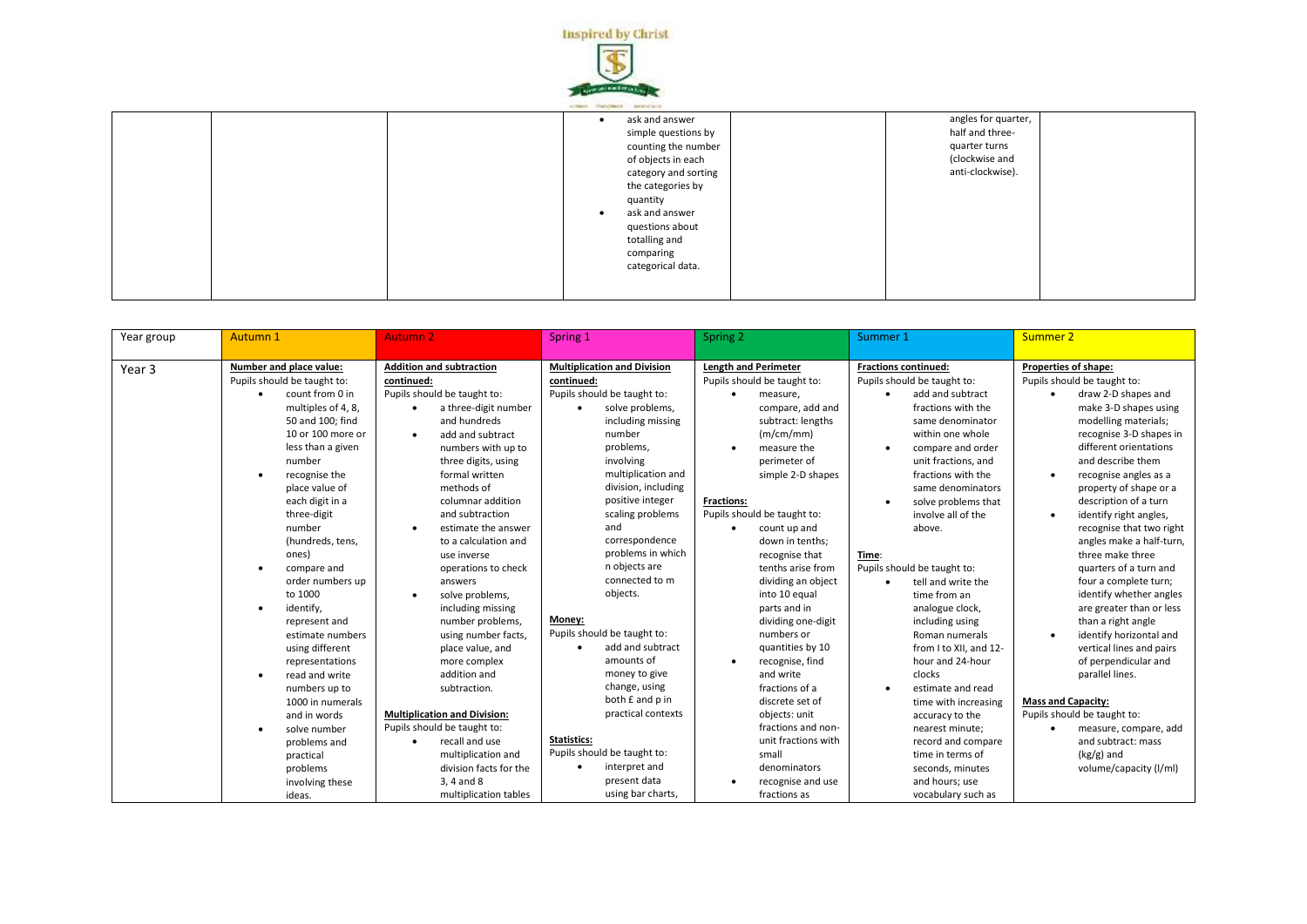

| ask and answer              |                                                                    |                                                                                               |
|-----------------------------|--------------------------------------------------------------------|-----------------------------------------------------------------------------------------------|
| simple questions by         |                                                                    |                                                                                               |
| counting the number         |                                                                    |                                                                                               |
| of objects in each          |                                                                    |                                                                                               |
| category and sorting        |                                                                    |                                                                                               |
| the categories by           |                                                                    |                                                                                               |
| quantity                    |                                                                    |                                                                                               |
| ask and answer<br>$\bullet$ |                                                                    |                                                                                               |
| questions about             |                                                                    |                                                                                               |
| totalling and               |                                                                    |                                                                                               |
| comparing                   |                                                                    |                                                                                               |
| categorical data.           |                                                                    |                                                                                               |
|                             |                                                                    |                                                                                               |
|                             |                                                                    |                                                                                               |
|                             | a company of the company's company's company's company's company's | angles for quarter,<br>half and three-<br>quarter turns<br>(clockwise and<br>anti-clockwise). |

| Year group        | Autumn 1                                                                                                                                                                                                                                                                                                                                                                                                                                                                                                                                | <b>Autumn 2</b><br>Spring 1                                                                                                                                                                                                                                                                                                                                                                                                                                                                                                                                 |                                                                                                                                                                                                                                                                                                                                                                                                                                                                                                                  | Spring 2                                                                                                                                                                                                                                                                                                                                                                                                                                                                                                            | Summer 1                                                                                                                                                                                                                                                                                                                                                                                                                                                                                                                                                                                | <b>Summer 2</b>                                                                                                                                                                                                                                                                                                                                                                                                                                                                                                                                                                                                                                                                                    |
|-------------------|-----------------------------------------------------------------------------------------------------------------------------------------------------------------------------------------------------------------------------------------------------------------------------------------------------------------------------------------------------------------------------------------------------------------------------------------------------------------------------------------------------------------------------------------|-------------------------------------------------------------------------------------------------------------------------------------------------------------------------------------------------------------------------------------------------------------------------------------------------------------------------------------------------------------------------------------------------------------------------------------------------------------------------------------------------------------------------------------------------------------|------------------------------------------------------------------------------------------------------------------------------------------------------------------------------------------------------------------------------------------------------------------------------------------------------------------------------------------------------------------------------------------------------------------------------------------------------------------------------------------------------------------|---------------------------------------------------------------------------------------------------------------------------------------------------------------------------------------------------------------------------------------------------------------------------------------------------------------------------------------------------------------------------------------------------------------------------------------------------------------------------------------------------------------------|-----------------------------------------------------------------------------------------------------------------------------------------------------------------------------------------------------------------------------------------------------------------------------------------------------------------------------------------------------------------------------------------------------------------------------------------------------------------------------------------------------------------------------------------------------------------------------------------|----------------------------------------------------------------------------------------------------------------------------------------------------------------------------------------------------------------------------------------------------------------------------------------------------------------------------------------------------------------------------------------------------------------------------------------------------------------------------------------------------------------------------------------------------------------------------------------------------------------------------------------------------------------------------------------------------|
| Year <sub>3</sub> | Number and place value:<br>Pupils should be taught to:<br>count from 0 in<br>$\bullet$<br>multiples of 4, 8,<br>50 and 100; find<br>10 or 100 more or<br>less than a given<br>number<br>recognise the<br>$\bullet$<br>place value of<br>each digit in a<br>three-digit<br>number<br>(hundreds, tens,<br>ones)<br>compare and<br>order numbers up<br>to 1000<br>identify,<br>represent and<br>estimate numbers<br>using different<br>representations<br>read and write<br>$\bullet$<br>numbers up to<br>1000 in numerals<br>and in words | <b>Addition and subtraction</b><br>continued:<br>Pupils should be taught to:<br>a three-digit number<br>and hundreds<br>add and subtract<br>numbers with up to<br>three digits, using<br>formal written<br>methods of<br>columnar addition<br>and subtraction<br>estimate the answer<br>to a calculation and<br>use inverse<br>operations to check<br>answers<br>solve problems,<br>including missing<br>number problems,<br>using number facts,<br>place value, and<br>more complex<br>addition and<br>subtraction.<br><b>Multiplication and Division:</b> | <b>Multiplication and Division</b><br>continued:<br>Pupils should be taught to:<br>solve problems,<br>$\bullet$<br>including missing<br>number<br>problems,<br>involving<br>multiplication and<br>division, including<br>positive integer<br>scaling problems<br>and<br>correspondence<br>problems in which<br>n objects are<br>connected to m<br>objects.<br>Money:<br>Pupils should be taught to:<br>add and subtract<br>amounts of<br>money to give<br>change, using<br>both £ and p in<br>practical contexts | <b>Length and Perimeter</b><br>Pupils should be taught to:<br>measure,<br>compare, add and<br>subtract: lengths<br>(m/cm/mm)<br>measure the<br>perimeter of<br>simple 2-D shapes<br><b>Fractions:</b><br>Pupils should be taught to:<br>count up and<br>down in tenths;<br>recognise that<br>tenths arise from<br>dividing an object<br>into 10 equal<br>parts and in<br>dividing one-digit<br>numbers or<br>quantities by 10<br>recognise, find<br>and write<br>fractions of a<br>discrete set of<br>objects: unit | <b>Fractions continued:</b><br>Pupils should be taught to:<br>add and subtract<br>٠<br>fractions with the<br>same denominator<br>within one whole<br>compare and order<br>$\bullet$<br>unit fractions, and<br>fractions with the<br>same denominators<br>solve problems that<br>$\bullet$<br>involve all of the<br>above.<br>Time:<br>Pupils should be taught to:<br>tell and write the<br>time from an<br>analogue clock,<br>including using<br>Roman numerals<br>from I to XII, and 12-<br>hour and 24-hour<br>clocks<br>estimate and read<br>time with increasing<br>accuracy to the | Properties of shape:<br>Pupils should be taught to:<br>draw 2-D shapes and<br>make 3-D shapes using<br>modelling materials;<br>recognise 3-D shapes in<br>different orientations<br>and describe them<br>recognise angles as a<br>$\bullet$<br>property of shape or a<br>description of a turn<br>identify right angles,<br>recognise that two right<br>angles make a half-turn,<br>three make three<br>quarters of a turn and<br>four a complete turn;<br>identify whether angles<br>are greater than or less<br>than a right angle<br>identify horizontal and<br>vertical lines and pairs<br>of perpendicular and<br>parallel lines.<br><b>Mass and Capacity:</b><br>Pupils should be taught to: |
|                   | solve number<br>problems and<br>practical<br>problems<br>involving these<br>ideas.                                                                                                                                                                                                                                                                                                                                                                                                                                                      | Pupils should be taught to:<br>recall and use<br>multiplication and<br>division facts for the<br>3, 4 and 8<br>multiplication tables                                                                                                                                                                                                                                                                                                                                                                                                                        | <b>Statistics:</b><br>Pupils should be taught to:<br>interpret and<br>$\bullet$<br>present data<br>using bar charts,                                                                                                                                                                                                                                                                                                                                                                                             | fractions and non-<br>unit fractions with<br>small<br>denominators<br>recognise and use<br>fractions as                                                                                                                                                                                                                                                                                                                                                                                                             | nearest minute;<br>record and compare<br>time in terms of<br>seconds, minutes<br>and hours; use<br>vocabulary such as                                                                                                                                                                                                                                                                                                                                                                                                                                                                   | measure, compare, add<br>and subtract: mass<br>$(kg/g)$ and<br>volume/capacity (I/ml)                                                                                                                                                                                                                                                                                                                                                                                                                                                                                                                                                                                                              |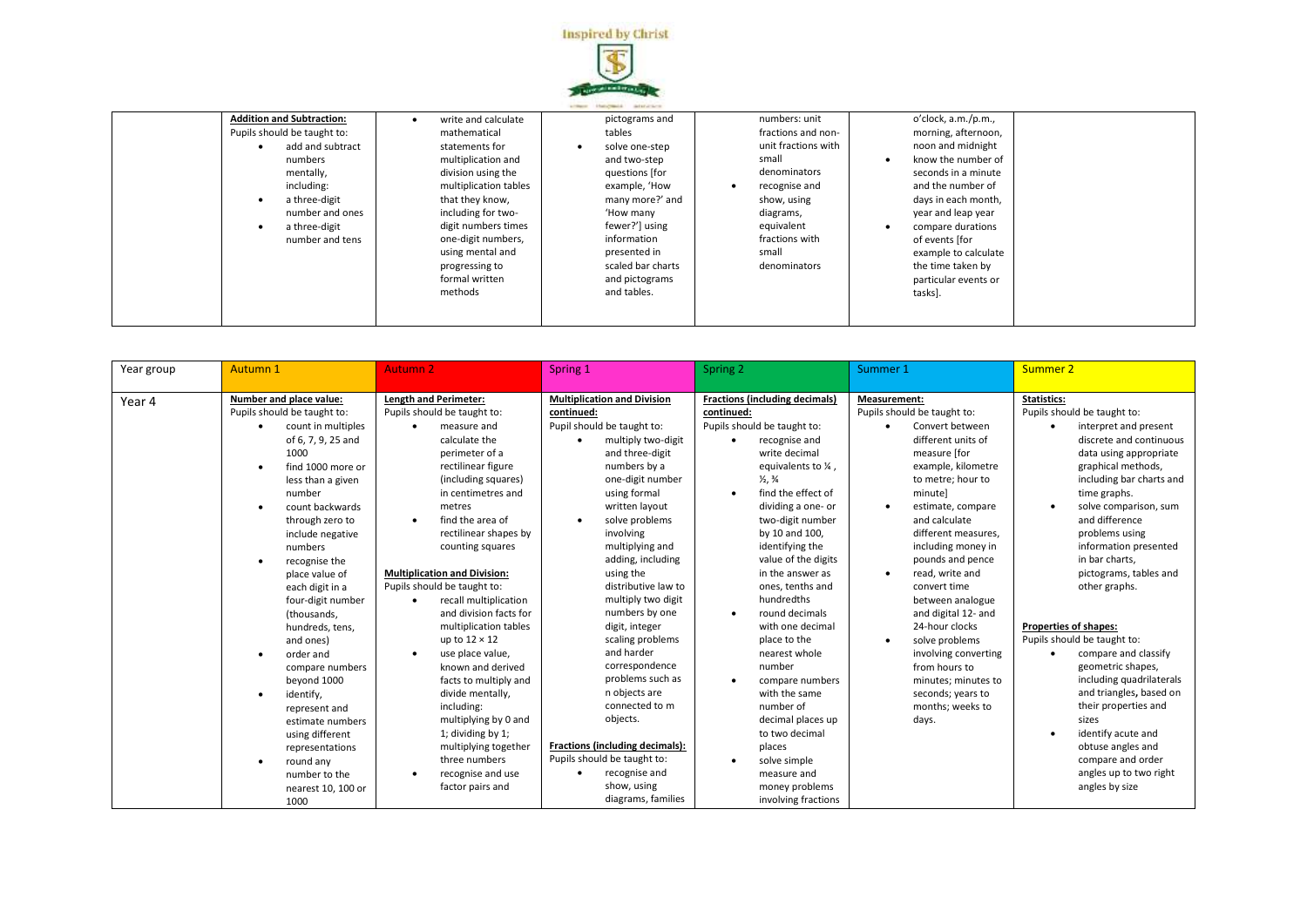

| <b>Addition and Subtraction:</b> | write and calculate   | pictograms and              | numbers: unit       | o'clock, a.m./p.m.,  |  |
|----------------------------------|-----------------------|-----------------------------|---------------------|----------------------|--|
| Pupils should be taught to:      | mathematical          | tables                      | fractions and non-  | morning, afternoon,  |  |
| add and subtract                 | statements for        | solve one-step<br>$\bullet$ | unit fractions with | noon and midnight    |  |
| numbers                          | multiplication and    | and two-step                | small               | know the number of   |  |
| mentally,                        | division using the    | questions [for              | denominators        | seconds in a minute  |  |
| including:                       | multiplication tables | example, 'How               | recognise and       | and the number of    |  |
| a three-digit<br>$\bullet$       | that they know,       | many more?' and             | show, using         | days in each month,  |  |
| number and ones                  | including for two-    | 'How many                   | diagrams,           | year and leap year   |  |
| a three-digit                    | digit numbers times   | fewer?'] using              | equivalent          | compare durations    |  |
| number and tens                  | one-digit numbers,    | information                 | fractions with      | of events [for       |  |
|                                  | using mental and      | presented in                | small               | example to calculate |  |
|                                  | progressing to        | scaled bar charts           | denominators        | the time taken by    |  |
|                                  | formal written        | and pictograms              |                     | particular events or |  |
|                                  | methods               | and tables.                 |                     | tasks].              |  |
|                                  |                       |                             |                     |                      |  |
|                                  |                       |                             |                     |                      |  |

| Year group | Autumn 1                                                                                                                                                                                                                                                                                                                                                                                                                                                                                                                                                                                                                  | <b>Autumn 2</b>                                                                                                                                                                                                                                                                                                                                                                                                                                                                                                                                                                                                                                                        | Spring 1                                                                                                                                                                                                                                                                                                                                                                                                                                                                                                                                                                                                          | Spring 2                                                                                                                                                                                                                                                                                                                                                                                                                                                                                                                                                                                                                             | Summer 1                                                                                                                                                                                                                                                                                                                                                                                                                                                                                                                     | Summer 2                                                                                                                                                                                                                                                                                                                                                                                                                                                                                                                                                                                                                                                      |
|------------|---------------------------------------------------------------------------------------------------------------------------------------------------------------------------------------------------------------------------------------------------------------------------------------------------------------------------------------------------------------------------------------------------------------------------------------------------------------------------------------------------------------------------------------------------------------------------------------------------------------------------|------------------------------------------------------------------------------------------------------------------------------------------------------------------------------------------------------------------------------------------------------------------------------------------------------------------------------------------------------------------------------------------------------------------------------------------------------------------------------------------------------------------------------------------------------------------------------------------------------------------------------------------------------------------------|-------------------------------------------------------------------------------------------------------------------------------------------------------------------------------------------------------------------------------------------------------------------------------------------------------------------------------------------------------------------------------------------------------------------------------------------------------------------------------------------------------------------------------------------------------------------------------------------------------------------|--------------------------------------------------------------------------------------------------------------------------------------------------------------------------------------------------------------------------------------------------------------------------------------------------------------------------------------------------------------------------------------------------------------------------------------------------------------------------------------------------------------------------------------------------------------------------------------------------------------------------------------|------------------------------------------------------------------------------------------------------------------------------------------------------------------------------------------------------------------------------------------------------------------------------------------------------------------------------------------------------------------------------------------------------------------------------------------------------------------------------------------------------------------------------|---------------------------------------------------------------------------------------------------------------------------------------------------------------------------------------------------------------------------------------------------------------------------------------------------------------------------------------------------------------------------------------------------------------------------------------------------------------------------------------------------------------------------------------------------------------------------------------------------------------------------------------------------------------|
| Year 4     | Number and place value:<br>Pupils should be taught to:<br>count in multiples<br>٠<br>of 6, 7, 9, 25 and<br>1000<br>find 1000 more or<br>less than a given<br>number<br>count backwards<br>$\bullet$<br>through zero to<br>include negative<br>numbers<br>recognise the<br>$\bullet$<br>place value of<br>each digit in a<br>four-digit number<br>(thousands,<br>hundreds, tens,<br>and ones)<br>order and<br>compare numbers<br>beyond 1000<br>identify,<br>$\bullet$<br>represent and<br>estimate numbers<br>using different<br>representations<br>round any<br>$\bullet$<br>number to the<br>nearest 10, 100 or<br>1000 | Length and Perimeter:<br>Pupils should be taught to:<br>measure and<br>calculate the<br>perimeter of a<br>rectilinear figure<br>(including squares)<br>in centimetres and<br>metres<br>find the area of<br>٠<br>rectilinear shapes by<br>counting squares<br><b>Multiplication and Division:</b><br>Pupils should be taught to:<br>recall multiplication<br>and division facts for<br>multiplication tables<br>up to $12 \times 12$<br>use place value,<br>known and derived<br>facts to multiply and<br>divide mentally,<br>including:<br>multiplying by 0 and<br>1; dividing by 1;<br>multiplying together<br>three numbers<br>recognise and use<br>factor pairs and | <b>Multiplication and Division</b><br>continued:<br>Pupil should be taught to:<br>multiply two-digit<br>and three-digit<br>numbers by a<br>one-digit number<br>using formal<br>written layout<br>solve problems<br>involving<br>multiplying and<br>adding, including<br>using the<br>distributive law to<br>multiply two digit<br>numbers by one<br>digit, integer<br>scaling problems<br>and harder<br>correspondence<br>problems such as<br>n objects are<br>connected to m<br>objects.<br>Fractions (including decimals):<br>Pupils should be taught to:<br>recognise and<br>show, using<br>diagrams, families | <b>Fractions (including decimals)</b><br>continued:<br>Pupils should be taught to:<br>recognise and<br>write decimal<br>equivalents to $\frac{1}{4}$ ,<br>$\frac{1}{2}$ , $\frac{3}{4}$<br>find the effect of<br>dividing a one- or<br>two-digit number<br>by 10 and 100,<br>identifying the<br>value of the digits<br>in the answer as<br>ones, tenths and<br>hundredths<br>round decimals<br>with one decimal<br>place to the<br>nearest whole<br>number<br>compare numbers<br>with the same<br>number of<br>decimal places up<br>to two decimal<br>places<br>solve simple<br>measure and<br>money problems<br>involving fractions | Measurement:<br>Pupils should be taught to:<br>Convert between<br>different units of<br>measure [for<br>example, kilometre<br>to metre; hour to<br>minutel<br>estimate, compare<br>٠<br>and calculate<br>different measures.<br>including money in<br>pounds and pence<br>read, write and<br>$\bullet$<br>convert time<br>between analogue<br>and digital 12- and<br>24-hour clocks<br>solve problems<br>٠<br>involving converting<br>from hours to<br>minutes; minutes to<br>seconds; years to<br>months: weeks to<br>days. | <b>Statistics:</b><br>Pupils should be taught to:<br>interpret and present<br>discrete and continuous<br>data using appropriate<br>graphical methods,<br>including bar charts and<br>time graphs.<br>solve comparison, sum<br>and difference<br>problems using<br>information presented<br>in bar charts,<br>pictograms, tables and<br>other graphs.<br>Properties of shapes:<br>Pupils should be taught to:<br>compare and classify<br>geometric shapes,<br>including quadrilaterals<br>and triangles, based on<br>their properties and<br>sizes<br>identify acute and<br>obtuse angles and<br>compare and order<br>angles up to two right<br>angles by size |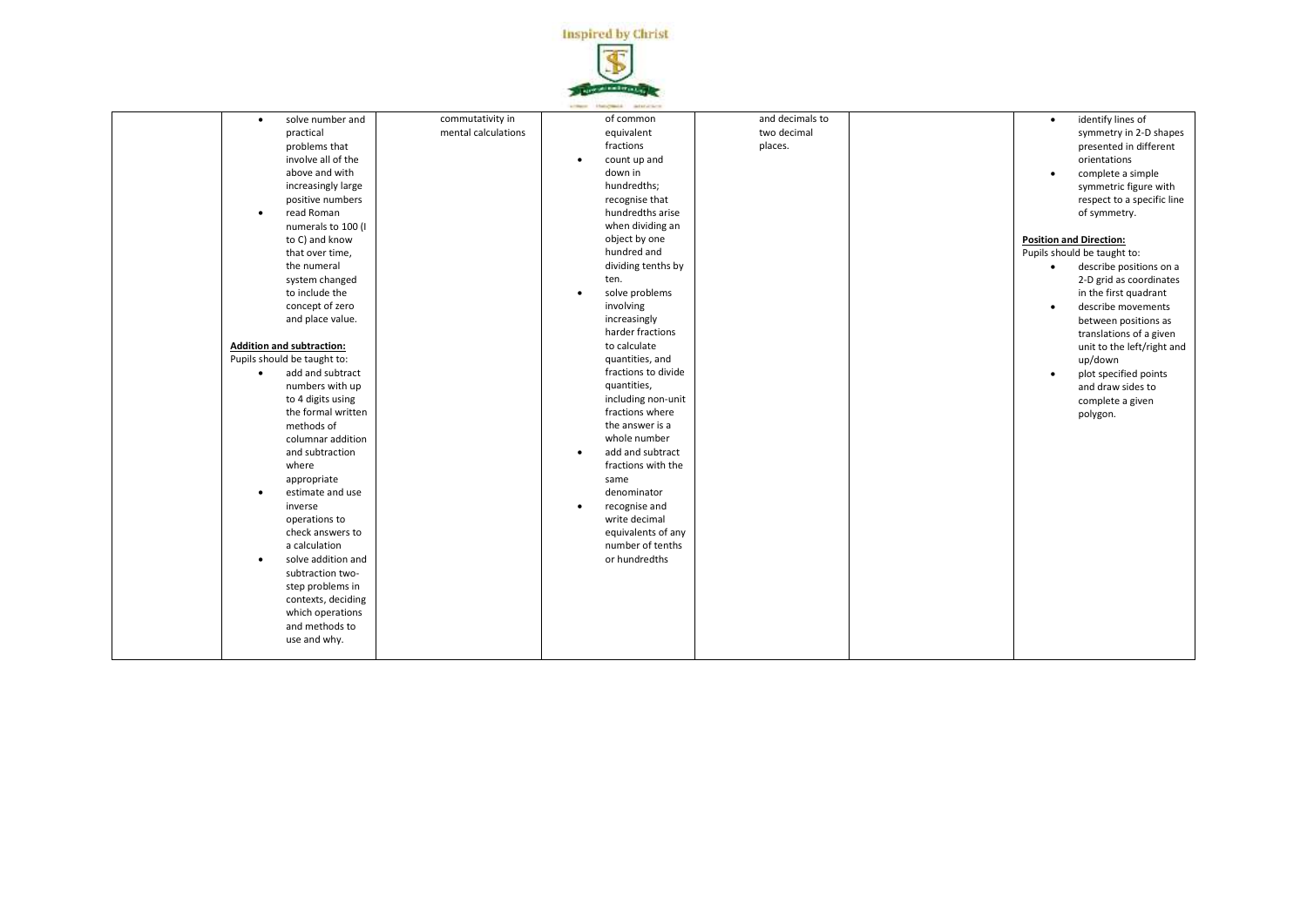

| solve number and<br>$\bullet$<br>practical<br>problems that<br>involve all of the<br>above and with<br>increasingly large<br>positive numbers<br>read Roman<br>$\bullet$<br>numerals to 100 (I<br>to C) and know<br>that over time,<br>the numeral<br>system changed<br>to include the<br>concept of zero<br>and place value.<br><b>Addition and subtraction:</b><br>Pupils should be taught to:<br>add and subtract<br>$\bullet$<br>numbers with up<br>to 4 digits using<br>the formal written<br>methods of<br>columnar addition<br>and subtraction<br>where<br>appropriate<br>estimate and use<br>inverse<br>operations to<br>check answers to<br>a calculation<br>solve addition and<br>$\bullet$<br>subtraction two-<br>step problems in<br>contexts, deciding<br>which operations<br>and methods to<br>use and why. | commutativity in<br>mental calculations | of common<br>equivalent<br>fractions<br>count up and<br>$\bullet$<br>down in<br>hundredths;<br>recognise that<br>hundredths arise<br>when dividing an<br>object by one<br>hundred and<br>dividing tenths by<br>ten.<br>solve problems<br>$\bullet$<br>involving<br>increasingly<br>harder fractions<br>to calculate<br>quantities, and<br>fractions to divide<br>quantities,<br>including non-unit<br>fractions where<br>the answer is a<br>whole number<br>add and subtract<br>$\bullet$<br>fractions with the<br>same<br>denominator<br>recognise and<br>$\bullet$<br>write decimal<br>equivalents of any<br>number of tenths<br>or hundredths | and decimals to<br>two decimal<br>places. | identify lines of<br>$\bullet$<br>symmetry in 2-D shapes<br>presented in different<br>orientations<br>complete a simple<br>$\bullet$<br>symmetric figure with<br>respect to a specific line<br>of symmetry.<br><b>Position and Direction:</b><br>Pupils should be taught to:<br>describe positions on a<br>$\bullet$<br>2-D grid as coordinates<br>in the first quadrant<br>describe movements<br>$\bullet$<br>between positions as<br>translations of a given<br>unit to the left/right and<br>up/down<br>plot specified points<br>and draw sides to<br>complete a given<br>polygon. |
|---------------------------------------------------------------------------------------------------------------------------------------------------------------------------------------------------------------------------------------------------------------------------------------------------------------------------------------------------------------------------------------------------------------------------------------------------------------------------------------------------------------------------------------------------------------------------------------------------------------------------------------------------------------------------------------------------------------------------------------------------------------------------------------------------------------------------|-----------------------------------------|--------------------------------------------------------------------------------------------------------------------------------------------------------------------------------------------------------------------------------------------------------------------------------------------------------------------------------------------------------------------------------------------------------------------------------------------------------------------------------------------------------------------------------------------------------------------------------------------------------------------------------------------------|-------------------------------------------|---------------------------------------------------------------------------------------------------------------------------------------------------------------------------------------------------------------------------------------------------------------------------------------------------------------------------------------------------------------------------------------------------------------------------------------------------------------------------------------------------------------------------------------------------------------------------------------|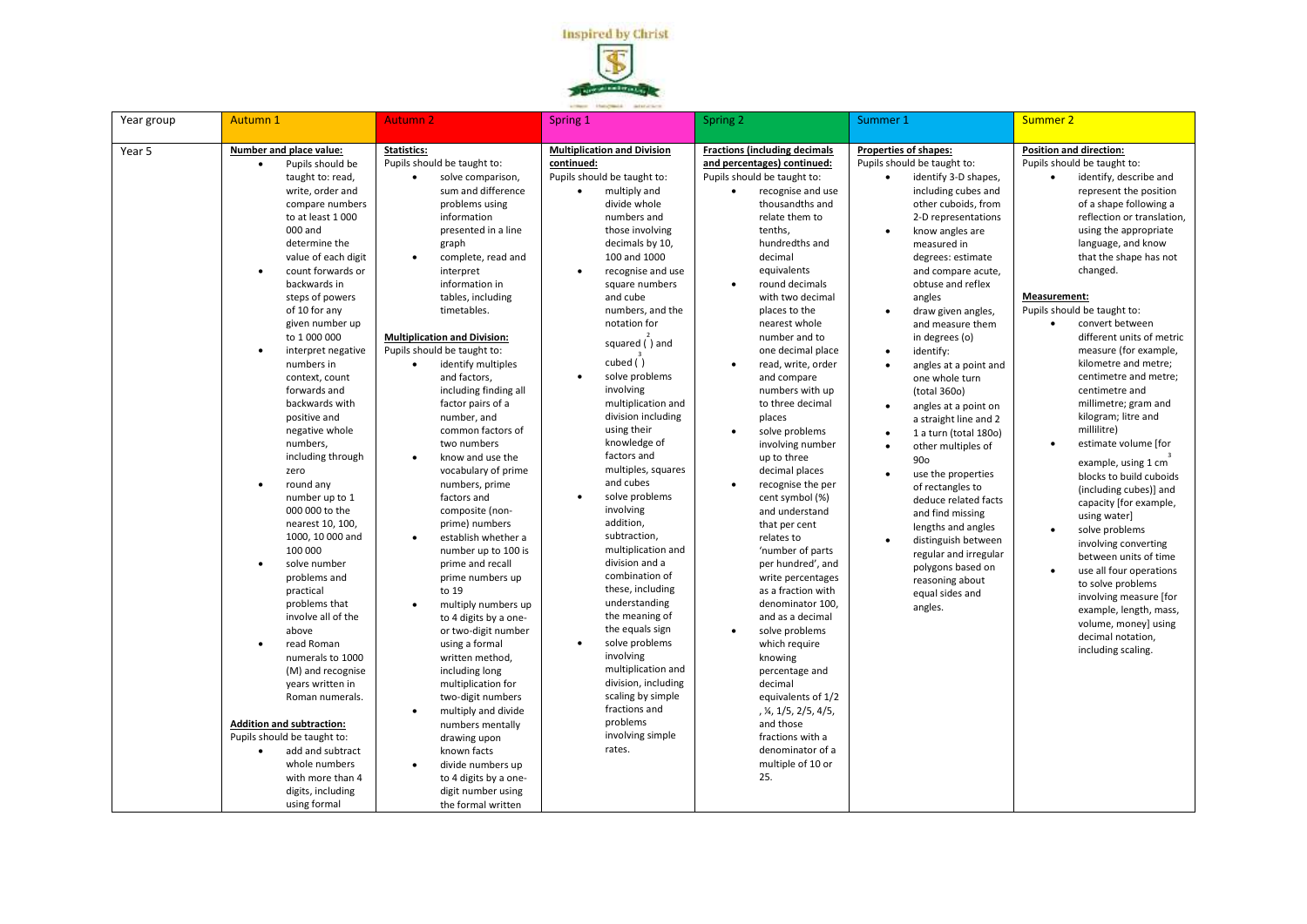

| Year group | Autumn 1                                                                                                                                                                                                                                                                                                                                                                                                                                                                                                                                                                                                                                                                                                                                                                                                                                                                                                                                                                                                                | <b>Autumn 2</b>                                                                                                                                                                                                                                                                                                                                                                                                                                                                                                                                                                                                                                                                                                                                                                                                                                                                                                                                                                                                                                                                            | Spring 1                                                                                                                                                                                                                                                                                                                                                                                                                                                                                                                                                                                                                                                                                                                                                                                                                                                                                                     | Spring 2                                                                                                                                                                                                                                                                                                                                                                                                                                                                                                                                                                                                                                                                                                                                                                                                                                                                                                                                                                                      | Summer 1                                                                                                                                                                                                                                                                                                                                                                                                                                                                                                                                                                                                                                                                                                                                                                         | Summer 2                                                                                                                                                                                                                                                                                                                                                                                                                                                                                                                                                                                                                                                                                                                                                                                                                                                                                                                                               |
|------------|-------------------------------------------------------------------------------------------------------------------------------------------------------------------------------------------------------------------------------------------------------------------------------------------------------------------------------------------------------------------------------------------------------------------------------------------------------------------------------------------------------------------------------------------------------------------------------------------------------------------------------------------------------------------------------------------------------------------------------------------------------------------------------------------------------------------------------------------------------------------------------------------------------------------------------------------------------------------------------------------------------------------------|--------------------------------------------------------------------------------------------------------------------------------------------------------------------------------------------------------------------------------------------------------------------------------------------------------------------------------------------------------------------------------------------------------------------------------------------------------------------------------------------------------------------------------------------------------------------------------------------------------------------------------------------------------------------------------------------------------------------------------------------------------------------------------------------------------------------------------------------------------------------------------------------------------------------------------------------------------------------------------------------------------------------------------------------------------------------------------------------|--------------------------------------------------------------------------------------------------------------------------------------------------------------------------------------------------------------------------------------------------------------------------------------------------------------------------------------------------------------------------------------------------------------------------------------------------------------------------------------------------------------------------------------------------------------------------------------------------------------------------------------------------------------------------------------------------------------------------------------------------------------------------------------------------------------------------------------------------------------------------------------------------------------|-----------------------------------------------------------------------------------------------------------------------------------------------------------------------------------------------------------------------------------------------------------------------------------------------------------------------------------------------------------------------------------------------------------------------------------------------------------------------------------------------------------------------------------------------------------------------------------------------------------------------------------------------------------------------------------------------------------------------------------------------------------------------------------------------------------------------------------------------------------------------------------------------------------------------------------------------------------------------------------------------|----------------------------------------------------------------------------------------------------------------------------------------------------------------------------------------------------------------------------------------------------------------------------------------------------------------------------------------------------------------------------------------------------------------------------------------------------------------------------------------------------------------------------------------------------------------------------------------------------------------------------------------------------------------------------------------------------------------------------------------------------------------------------------|--------------------------------------------------------------------------------------------------------------------------------------------------------------------------------------------------------------------------------------------------------------------------------------------------------------------------------------------------------------------------------------------------------------------------------------------------------------------------------------------------------------------------------------------------------------------------------------------------------------------------------------------------------------------------------------------------------------------------------------------------------------------------------------------------------------------------------------------------------------------------------------------------------------------------------------------------------|
| Year 5     | Number and place value:<br>Pupils should be<br>$\bullet$<br>taught to: read,<br>write, order and<br>compare numbers<br>to at least 1000<br>000 and<br>determine the<br>value of each digit<br>count forwards or<br>$\bullet$<br>backwards in<br>steps of powers<br>of 10 for any<br>given number up<br>to 1 000 000<br>interpret negative<br>$\bullet$<br>numbers in<br>context, count<br>forwards and<br>backwards with<br>positive and<br>negative whole<br>numbers,<br>including through<br>zero<br>round any<br>$\bullet$<br>number up to 1<br>000 000 to the<br>nearest 10, 100,<br>1000, 10 000 and<br>100 000<br>solve number<br>$\bullet$<br>problems and<br>practical<br>problems that<br>involve all of the<br>above<br>read Roman<br>$\bullet$<br>numerals to 1000<br>(M) and recognise<br>years written in<br>Roman numerals.<br><b>Addition and subtraction:</b><br>Pupils should be taught to:<br>add and subtract<br>$\bullet$<br>whole numbers<br>with more than 4<br>digits, including<br>using formal | Statistics:<br>Pupils should be taught to:<br>solve comparison,<br>sum and difference<br>problems using<br>information<br>presented in a line<br>graph<br>$\bullet$<br>complete, read and<br>interpret<br>information in<br>tables, including<br>timetables.<br><b>Multiplication and Division:</b><br>Pupils should be taught to:<br>identify multiples<br>$\bullet$<br>and factors,<br>including finding all<br>factor pairs of a<br>number, and<br>common factors of<br>two numbers<br>know and use the<br>$\bullet$<br>vocabulary of prime<br>numbers, prime<br>factors and<br>composite (non-<br>prime) numbers<br>establish whether a<br>number up to 100 is<br>prime and recall<br>prime numbers up<br>to 19<br>multiply numbers up<br>$\bullet$<br>to 4 digits by a one-<br>or two-digit number<br>using a formal<br>written method,<br>including long<br>multiplication for<br>two-digit numbers<br>multiply and divide<br>$\bullet$<br>numbers mentally<br>drawing upon<br>known facts<br>divide numbers up<br>to 4 digits by a one-<br>digit number using<br>the formal written | <b>Multiplication and Division</b><br>continued:<br>Pupils should be taught to:<br>multiply and<br>$\bullet$<br>divide whole<br>numbers and<br>those involving<br>decimals by 10,<br>100 and 1000<br>recognise and use<br>$\bullet$<br>square numbers<br>and cube<br>numbers, and the<br>notation for<br>squared () and<br>cubed $\tilde{()}$<br>solve problems<br>$\bullet$<br>involving<br>multiplication and<br>division including<br>using their<br>knowledge of<br>factors and<br>multiples, squares<br>and cubes<br>solve problems<br>$\bullet$<br>involving<br>addition,<br>subtraction,<br>multiplication and<br>division and a<br>combination of<br>these, including<br>understanding<br>the meaning of<br>the equals sign<br>solve problems<br>$\bullet$<br>involving<br>multiplication and<br>division, including<br>scaling by simple<br>fractions and<br>problems<br>involving simple<br>rates. | <b>Fractions (including decimals</b><br>and percentages) continued:<br>Pupils should be taught to:<br>recognise and use<br>thousandths and<br>relate them to<br>tenths.<br>hundredths and<br>decimal<br>equivalents<br>round decimals<br>$\bullet$<br>with two decimal<br>places to the<br>nearest whole<br>number and to<br>one decimal place<br>read, write, order<br>$\bullet$<br>and compare<br>numbers with up<br>to three decimal<br>places<br>solve problems<br>$\bullet$<br>involving number<br>up to three<br>decimal places<br>$\bullet$<br>recognise the per<br>cent symbol (%)<br>and understand<br>that per cent<br>relates to<br>'number of parts<br>per hundred', and<br>write percentages<br>as a fraction with<br>denominator 100,<br>and as a decimal<br>solve problems<br>$\bullet$<br>which require<br>knowing<br>percentage and<br>decimal<br>equivalents of 1/2<br>, ¼, 1/5, 2/5, 4/5,<br>and those<br>fractions with a<br>denominator of a<br>multiple of 10 or<br>25. | Properties of shapes:<br>Pupils should be taught to:<br>identify 3-D shapes,<br>including cubes and<br>other cuboids, from<br>2-D representations<br>know angles are<br>measured in<br>degrees: estimate<br>and compare acute,<br>obtuse and reflex<br>angles<br>draw given angles,<br>and measure them<br>in degrees (o)<br>identify:<br>$\bullet$<br>angles at a point and<br>one whole turn<br>(total 360o)<br>angles at a point on<br>a straight line and 2<br>1 a turn (total 180o)<br>other multiples of<br>$\bullet$<br>90 <sub>o</sub><br>use the properties<br>of rectangles to<br>deduce related facts<br>and find missing<br>lengths and angles<br>distinguish between<br>regular and irregular<br>polygons based on<br>reasoning about<br>equal sides and<br>angles. | <b>Position and direction:</b><br>Pupils should be taught to:<br>identify, describe and<br>represent the position<br>of a shape following a<br>reflection or translation,<br>using the appropriate<br>language, and know<br>that the shape has not<br>changed.<br>Measurement:<br>Pupils should be taught to:<br>convert between<br>different units of metric<br>measure (for example,<br>kilometre and metre;<br>centimetre and metre;<br>centimetre and<br>millimetre; gram and<br>kilogram; litre and<br>millilitre)<br>estimate volume [for<br>$\bullet$<br>example, using 1 cm<br>blocks to build cuboids<br>(including cubes)] and<br>capacity [for example,<br>using water]<br>solve problems<br>$\bullet$<br>involving converting<br>between units of time<br>use all four operations<br>$\bullet$<br>to solve problems<br>involving measure [for<br>example, length, mass,<br>volume, money] using<br>decimal notation.<br>including scaling. |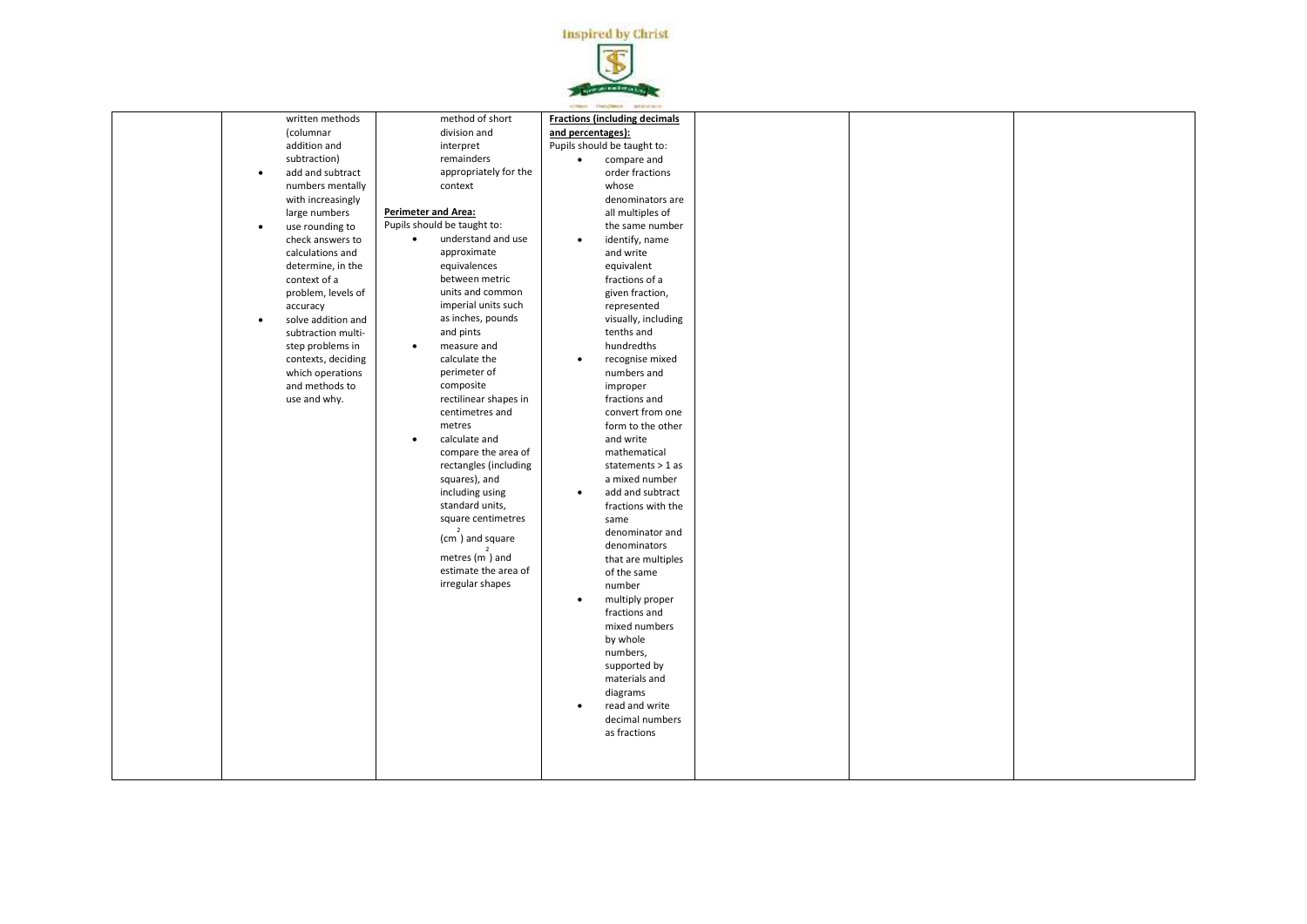

| written methods<br>(columnar<br>addition and<br>subtraction)<br>add and subtract<br>$\bullet$                                                                                                                                                                                                                                                                  | method of short<br>division and<br>interpret<br>remainders<br>appropriately for the                                                                                                                                                                                                                                                                                                                                                                                                                                                                                                                                 | arment Hangwald adstation<br><b>Fractions (including decimals</b><br>and percentages):<br>Pupils should be taught to:<br>compare and<br>$\bullet$<br>order fractions                                                                                                                                                                                                                                                                                                                                                                                                                                                                                                                                               |  |  |
|----------------------------------------------------------------------------------------------------------------------------------------------------------------------------------------------------------------------------------------------------------------------------------------------------------------------------------------------------------------|---------------------------------------------------------------------------------------------------------------------------------------------------------------------------------------------------------------------------------------------------------------------------------------------------------------------------------------------------------------------------------------------------------------------------------------------------------------------------------------------------------------------------------------------------------------------------------------------------------------------|--------------------------------------------------------------------------------------------------------------------------------------------------------------------------------------------------------------------------------------------------------------------------------------------------------------------------------------------------------------------------------------------------------------------------------------------------------------------------------------------------------------------------------------------------------------------------------------------------------------------------------------------------------------------------------------------------------------------|--|--|
| numbers mentally<br>with increasingly<br>large numbers<br>use rounding to<br>$\bullet$<br>check answers to<br>calculations and<br>determine, in the<br>context of a<br>problem, levels of<br>accuracy<br>solve addition and<br>$\bullet$<br>subtraction multi-<br>step problems in<br>contexts, deciding<br>which operations<br>and methods to<br>use and why. | context<br><b>Perimeter and Area:</b><br>Pupils should be taught to:<br>understand and use<br>$\bullet$<br>approximate<br>equivalences<br>between metric<br>units and common<br>imperial units such<br>as inches, pounds<br>and pints<br>measure and<br>$\bullet$<br>calculate the<br>perimeter of<br>composite<br>rectilinear shapes in<br>centimetres and<br>metres<br>calculate and<br>$\bullet$<br>compare the area of<br>rectangles (including<br>squares), and<br>including using<br>standard units,<br>square centimetres<br>(cm) and square<br>metres $(m)$ and<br>estimate the area of<br>irregular shapes | whose<br>denominators are<br>all multiples of<br>the same number<br>identify, name<br>$\bullet$<br>and write<br>equivalent<br>fractions of a<br>given fraction,<br>represented<br>visually, including<br>tenths and<br>hundredths<br>recognise mixed<br>$\bullet$<br>numbers and<br>improper<br>fractions and<br>convert from one<br>form to the other<br>and write<br>mathematical<br>statements > 1 as<br>a mixed number<br>add and subtract<br>$\bullet$<br>fractions with the<br>same<br>denominator and<br>denominators<br>that are multiples<br>of the same<br>number<br>multiply proper<br>$\bullet$<br>fractions and<br>mixed numbers<br>by whole<br>numbers,<br>supported by<br>materials and<br>diagrams |  |  |
|                                                                                                                                                                                                                                                                                                                                                                |                                                                                                                                                                                                                                                                                                                                                                                                                                                                                                                                                                                                                     | read and write<br>$\bullet$<br>decimal numbers<br>as fractions                                                                                                                                                                                                                                                                                                                                                                                                                                                                                                                                                                                                                                                     |  |  |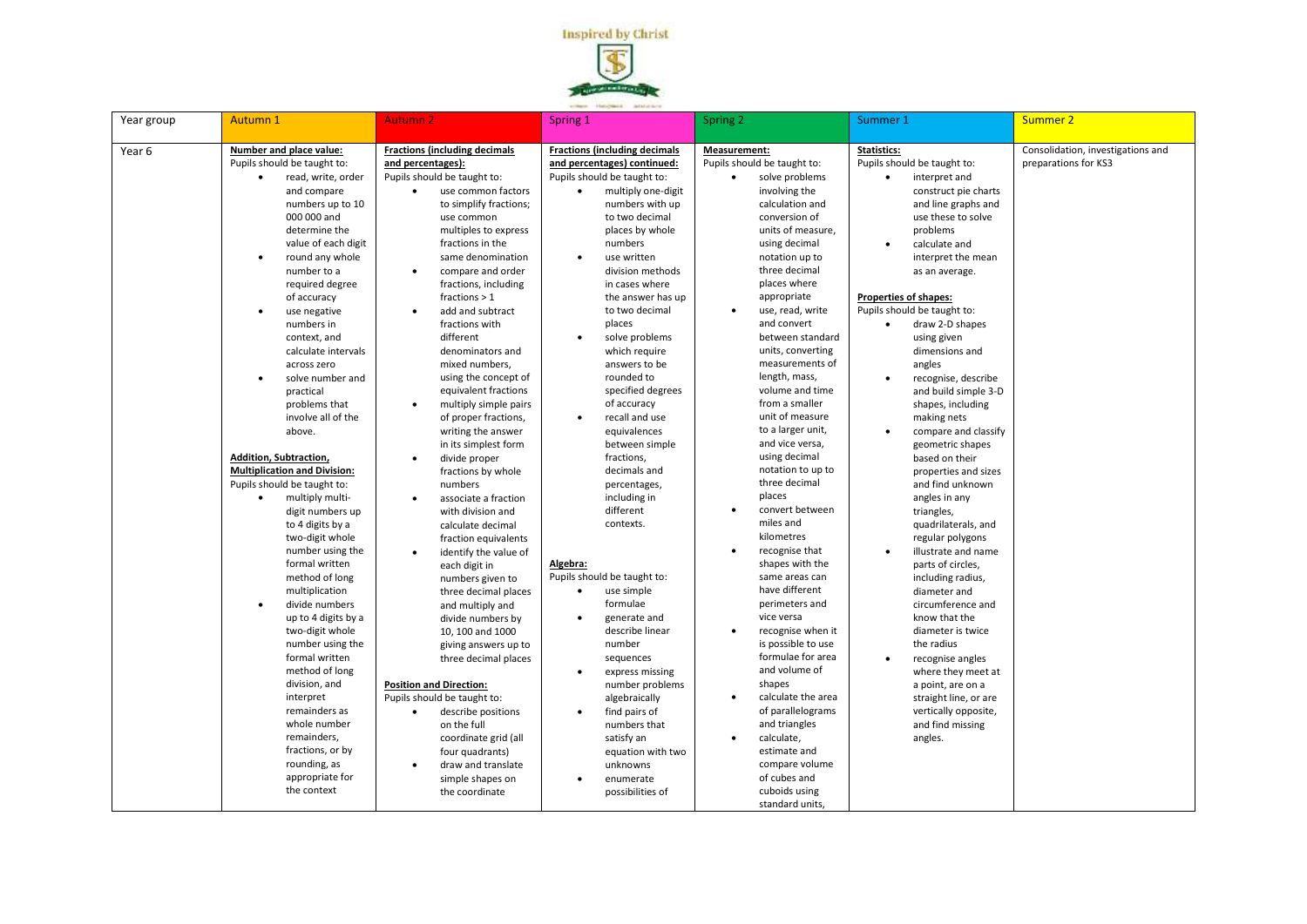

| Year group | <b>Autumn 1</b>                     | <b>Autumn 2</b>                            | Spring 1                                    | Spring 2                          | Summer 1                           | <b>Summer 2</b>                   |
|------------|-------------------------------------|--------------------------------------------|---------------------------------------------|-----------------------------------|------------------------------------|-----------------------------------|
| Year 6     | Number and place value:             | <b>Fractions (including decimals</b>       | <b>Fractions (including decimals</b>        | Measurement:                      | <b>Statistics:</b>                 | Consolidation, investigations and |
|            | Pupils should be taught to:         | and percentages):                          | and percentages) continued:                 | Pupils should be taught to:       | Pupils should be taught to:        | preparations for KS3              |
|            | read, write, order<br>$\bullet$     | Pupils should be taught to:                | Pupils should be taught to:                 | solve problems<br>$\bullet$       | interpret and<br>$\bullet$         |                                   |
|            | and compare                         | use common factors                         | multiply one-digit                          | involving the                     | construct pie charts               |                                   |
|            | numbers up to 10                    | to simplify fractions;                     | numbers with up                             | calculation and                   | and line graphs and                |                                   |
|            | 000 000 and                         | use common                                 | to two decimal                              | conversion of                     | use these to solve                 |                                   |
|            | determine the                       | multiples to express                       | places by whole                             | units of measure,                 | problems                           |                                   |
|            | value of each digit                 | fractions in the                           | numbers                                     | using decimal                     | $\bullet$<br>calculate and         |                                   |
|            | round any whole<br>$\bullet$        | same denomination                          | use written<br>$\bullet$                    | notation up to                    | interpret the mean                 |                                   |
|            | number to a                         | compare and order<br>$\bullet$             | division methods                            | three decimal                     | as an average.                     |                                   |
|            | required degree                     | fractions, including                       | in cases where                              | places where                      |                                    |                                   |
|            | of accuracy                         | fractions $> 1$                            | the answer has up                           | appropriate                       | <b>Properties of shapes:</b>       |                                   |
|            | use negative<br>$\bullet$           | add and subtract<br>$\bullet$              | to two decimal                              | use, read, write<br>$\bullet$     | Pupils should be taught to:        |                                   |
|            | numbers in                          | fractions with                             | places                                      | and convert                       | draw 2-D shapes<br>$\bullet$       |                                   |
|            | context, and                        | different                                  | solve problems<br>$\bullet$                 | between standard                  | using given                        |                                   |
|            | calculate intervals                 | denominators and                           | which require                               | units, converting                 | dimensions and                     |                                   |
|            | across zero                         | mixed numbers,                             | answers to be                               | measurements of                   | angles                             |                                   |
|            | solve number and<br>$\bullet$       | using the concept of                       | rounded to                                  | length, mass,                     | recognise, describe<br>$\bullet$   |                                   |
|            | practical                           | equivalent fractions                       | specified degrees                           | volume and time<br>from a smaller | and build simple 3-D               |                                   |
|            | problems that                       | multiply simple pairs<br>$\bullet$         | of accuracy                                 | unit of measure                   | shapes, including                  |                                   |
|            | involve all of the<br>above.        | of proper fractions,                       | recall and use<br>$\bullet$<br>equivalences | to a larger unit,                 | making nets<br>$\bullet$           |                                   |
|            |                                     | writing the answer<br>in its simplest form | between simple                              | and vice versa,                   | compare and classify               |                                   |
|            | Addition, Subtraction,              | divide proper                              | fractions,                                  | using decimal                     | geometric shapes<br>based on their |                                   |
|            | <b>Multiplication and Division:</b> | fractions by whole                         | decimals and                                | notation to up to                 | properties and sizes               |                                   |
|            | Pupils should be taught to:         | numbers                                    | percentages,                                | three decimal                     | and find unknown                   |                                   |
|            | multiply multi-<br>$\bullet$        | associate a fraction<br>$\bullet$          | including in                                | places                            | angles in any                      |                                   |
|            | digit numbers up                    | with division and                          | different                                   | convert between<br>$\bullet$      | triangles,                         |                                   |
|            | to 4 digits by a                    | calculate decimal                          | contexts.                                   | miles and                         | quadrilaterals, and                |                                   |
|            | two-digit whole                     | fraction equivalents                       |                                             | kilometres                        | regular polygons                   |                                   |
|            | number using the                    | identify the value of<br>$\bullet$         |                                             | recognise that<br>$\bullet$       | illustrate and name<br>$\bullet$   |                                   |
|            | formal written                      | each digit in                              | Algebra:                                    | shapes with the                   | parts of circles,                  |                                   |
|            | method of long                      | numbers given to                           | Pupils should be taught to:                 | same areas can                    | including radius,                  |                                   |
|            | multiplication                      | three decimal places                       | use simple<br>$\bullet$                     | have different                    | diameter and                       |                                   |
|            | divide numbers<br>$\bullet$         | and multiply and                           | formulae                                    | perimeters and                    | circumference and                  |                                   |
|            | up to 4 digits by a                 | divide numbers by                          | generate and                                | vice versa                        | know that the                      |                                   |
|            | two-digit whole                     | 10, 100 and 1000                           | describe linear                             | recognise when it<br>$\bullet$    | diameter is twice                  |                                   |
|            | number using the                    | giving answers up to                       | number                                      | is possible to use                | the radius                         |                                   |
|            | formal written                      | three decimal places                       | sequences                                   | formulae for area                 | $\bullet$<br>recognise angles      |                                   |
|            | method of long                      |                                            | express missing<br>$\bullet$                | and volume of                     | where they meet at                 |                                   |
|            | division, and                       | <b>Position and Direction:</b>             | number problems                             | shapes                            | a point, are on a                  |                                   |
|            | interpret                           | Pupils should be taught to:                | algebraically                               | calculate the area<br>$\bullet$   | straight line, or are              |                                   |
|            | remainders as                       | describe positions<br>$\bullet$            | find pairs of                               | of parallelograms                 | vertically opposite,               |                                   |
|            | whole number                        | on the full                                | numbers that                                | and triangles                     | and find missing                   |                                   |
|            | remainders,                         | coordinate grid (all                       | satisfy an                                  | calculate,<br>$\bullet$           | angles.                            |                                   |
|            | fractions, or by                    | four quadrants)                            | equation with two                           | estimate and                      |                                    |                                   |
|            | rounding, as                        | draw and translate<br>$\bullet$            | unknowns                                    | compare volume                    |                                    |                                   |
|            | appropriate for                     | simple shapes on                           | enumerate                                   | of cubes and                      |                                    |                                   |
|            | the context                         | the coordinate                             | possibilities of                            | cuboids using                     |                                    |                                   |
|            |                                     |                                            |                                             | standard units,                   |                                    |                                   |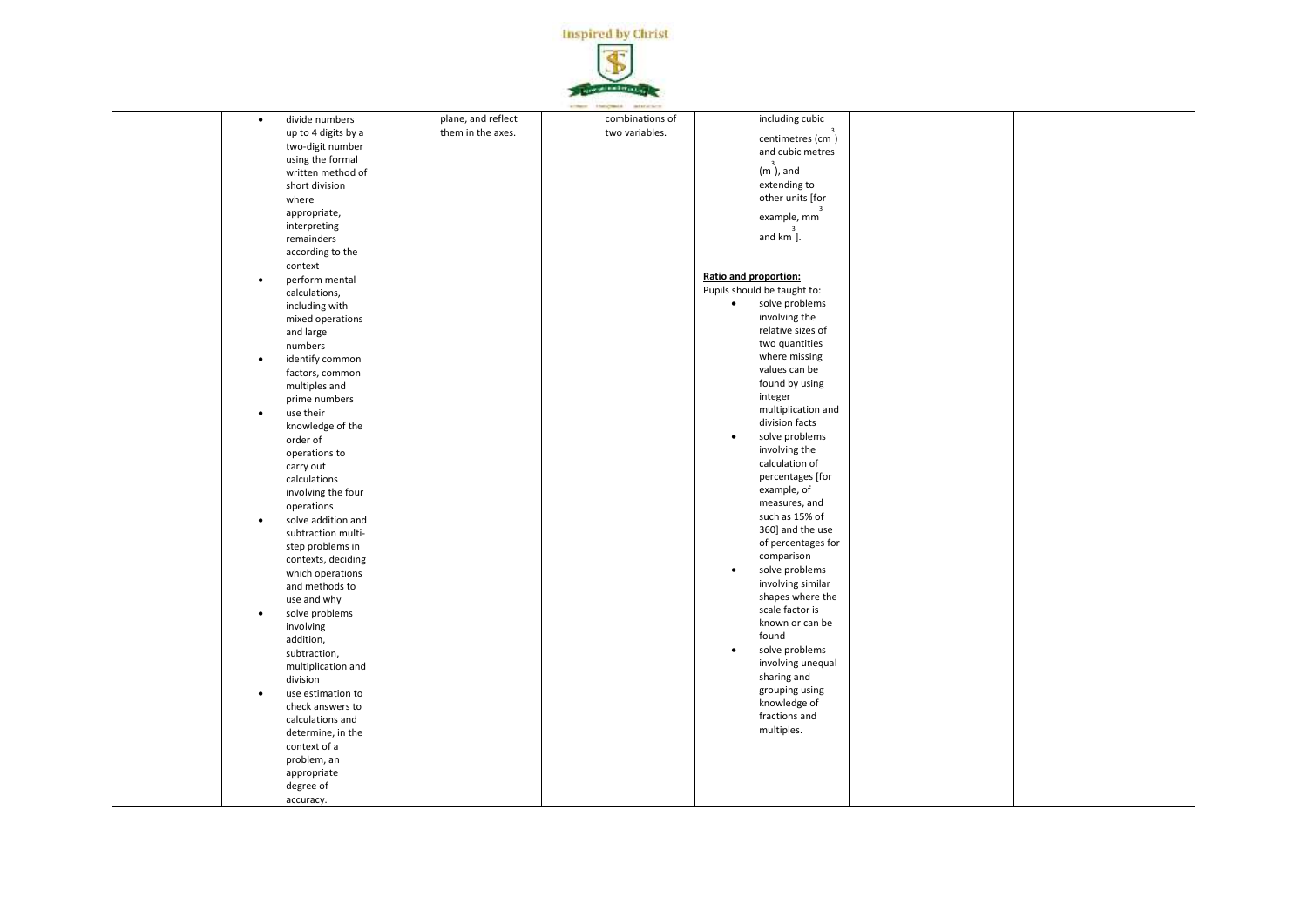

| $\bullet$ | divide numbers      | plane, and reflect | combinations of | including cubic                                    |  |
|-----------|---------------------|--------------------|-----------------|----------------------------------------------------|--|
|           | up to 4 digits by a | them in the axes.  | two variables.  | centimetres $\begin{pmatrix} 3 \\ 2 \end{pmatrix}$ |  |
|           | two-digit number    |                    |                 |                                                    |  |
|           | using the formal    |                    |                 | and cubic metres                                   |  |
|           | written method of   |                    |                 | $\begin{smallmatrix}&&3\\m\end{smallmatrix}$ , and |  |
|           | short division      |                    |                 | extending to                                       |  |
|           | where               |                    |                 | other units [for                                   |  |
|           |                     |                    |                 |                                                    |  |
|           | appropriate,        |                    |                 | example, mm                                        |  |
|           | interpreting        |                    |                 |                                                    |  |
|           | remainders          |                    |                 | and km ].                                          |  |
|           | according to the    |                    |                 |                                                    |  |
|           | context             |                    |                 |                                                    |  |
| $\bullet$ | perform mental      |                    |                 | Ratio and proportion:                              |  |
|           | calculations,       |                    |                 | Pupils should be taught to:                        |  |
|           | including with      |                    |                 | solve problems<br>$\bullet$                        |  |
|           | mixed operations    |                    |                 | involving the                                      |  |
|           | and large           |                    |                 | relative sizes of                                  |  |
|           | numbers             |                    |                 | two quantities                                     |  |
| $\bullet$ | identify common     |                    |                 | where missing                                      |  |
|           |                     |                    |                 | values can be                                      |  |
|           | factors, common     |                    |                 | found by using                                     |  |
|           | multiples and       |                    |                 | integer                                            |  |
|           | prime numbers       |                    |                 |                                                    |  |
| $\bullet$ | use their           |                    |                 | multiplication and                                 |  |
|           | knowledge of the    |                    |                 | division facts                                     |  |
|           | order of            |                    |                 | solve problems                                     |  |
|           | operations to       |                    |                 | involving the                                      |  |
|           | carry out           |                    |                 | calculation of                                     |  |
|           | calculations        |                    |                 | percentages [for                                   |  |
|           | involving the four  |                    |                 | example, of                                        |  |
|           | operations          |                    |                 | measures, and                                      |  |
| $\bullet$ | solve addition and  |                    |                 | such as 15% of                                     |  |
|           | subtraction multi-  |                    |                 | 360] and the use                                   |  |
|           | step problems in    |                    |                 | of percentages for                                 |  |
|           | contexts, deciding  |                    |                 | comparison                                         |  |
|           | which operations    |                    |                 | solve problems<br>$\bullet$                        |  |
|           | and methods to      |                    |                 | involving similar                                  |  |
|           | use and why         |                    |                 | shapes where the                                   |  |
| $\bullet$ | solve problems      |                    |                 | scale factor is                                    |  |
|           | involving           |                    |                 | known or can be                                    |  |
|           |                     |                    |                 | found                                              |  |
|           | addition,           |                    |                 | solve problems<br>$\bullet$                        |  |
|           | subtraction,        |                    |                 | involving unequal                                  |  |
|           | multiplication and  |                    |                 | sharing and                                        |  |
|           | division            |                    |                 |                                                    |  |
| $\bullet$ | use estimation to   |                    |                 | grouping using                                     |  |
|           | check answers to    |                    |                 | knowledge of                                       |  |
|           | calculations and    |                    |                 | fractions and                                      |  |
|           | determine, in the   |                    |                 | multiples.                                         |  |
|           | context of a        |                    |                 |                                                    |  |
|           | problem, an         |                    |                 |                                                    |  |
|           | appropriate         |                    |                 |                                                    |  |
|           | degree of           |                    |                 |                                                    |  |
|           | accuracy.           |                    |                 |                                                    |  |
|           |                     |                    |                 |                                                    |  |